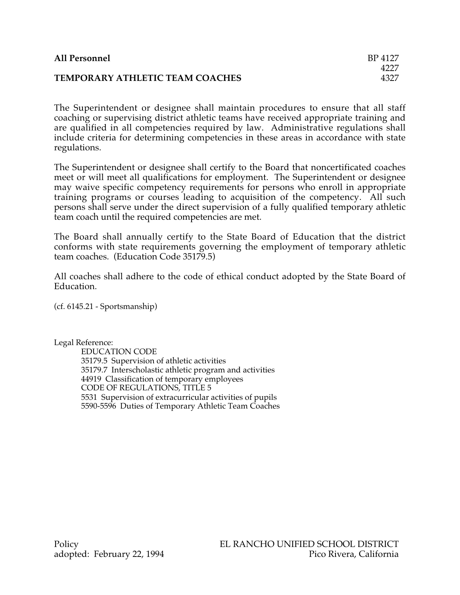| <b>All Personnel</b>            | BP 4127 |
|---------------------------------|---------|
|                                 | 4227    |
| TEMPORARY ATHLETIC TEAM COACHES | 4327    |

The Superintendent or designee shall maintain procedures to ensure that all staff coaching or supervising district athletic teams have received appropriate training and are qualified in all competencies required by law. Administrative regulations shall include criteria for determining competencies in these areas in accordance with state regulations.

The Superintendent or designee shall certify to the Board that noncertificated coaches meet or will meet all qualifications for employment. The Superintendent or designee may waive specific competency requirements for persons who enroll in appropriate training programs or courses leading to acquisition of the competency. All such persons shall serve under the direct supervision of a fully qualified temporary athletic team coach until the required competencies are met.

The Board shall annually certify to the State Board of Education that the district conforms with state requirements governing the employment of temporary athletic team coaches. (Education Code 35179.5)

All coaches shall adhere to the code of ethical conduct adopted by the State Board of Education.

(cf. 6145.21 - Sportsmanship)

Legal Reference:

EDUCATION CODE 35179.5 Supervision of athletic activities 35179.7 Interscholastic athletic program and activities 44919 Classification of temporary employees CODE OF REGULATIONS, TITLE 5 5531 Supervision of extracurricular activities of pupils 5590-5596 Duties of Temporary Athletic Team Coaches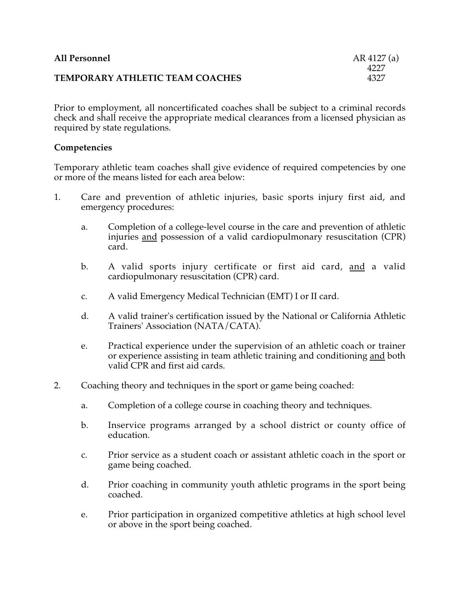| <b>All Personnel</b>            | AR 4127 (a) |
|---------------------------------|-------------|
|                                 | 4227        |
| TEMPORARY ATHLETIC TEAM COACHES | 4327        |

Prior to employment, all noncertificated coaches shall be subject to a criminal records check and shall receive the appropriate medical clearances from a licensed physician as required by state regulations.

## **Competencies**

Temporary athletic team coaches shall give evidence of required competencies by one or more of the means listed for each area below:

- 1. Care and prevention of athletic injuries, basic sports injury first aid, and emergency procedures:
	- a. Completion of a college-level course in the care and prevention of athletic injuries and possession of a valid cardiopulmonary resuscitation (CPR) card.
	- b. A valid sports injury certificate or first aid card, and a valid cardiopulmonary resuscitation (CPR) card.
	- c. A valid Emergency Medical Technician (EMT) I or II card.
	- d. A valid trainer's certification issued by the National or California Athletic Trainers' Association (NATA/CATA).
	- e. Practical experience under the supervision of an athletic coach or trainer or experience assisting in team athletic training and conditioning and both valid CPR and first aid cards.
- 2. Coaching theory and techniques in the sport or game being coached:
	- a. Completion of a college course in coaching theory and techniques.
	- b. Inservice programs arranged by a school district or county office of education.
	- c. Prior service as a student coach or assistant athletic coach in the sport or game being coached.
	- d. Prior coaching in community youth athletic programs in the sport being coached.
	- e. Prior participation in organized competitive athletics at high school level or above in the sport being coached.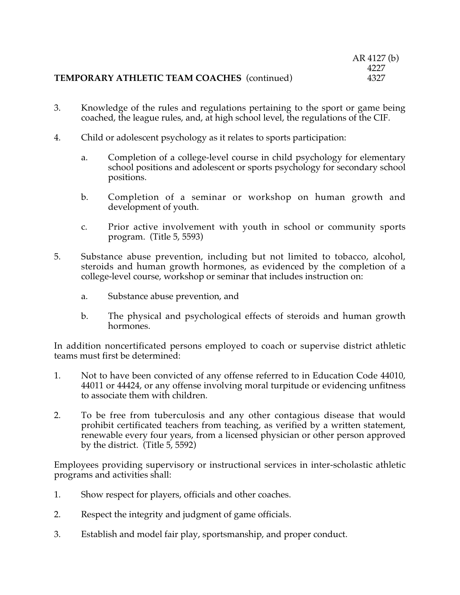|                                                    | AR 4127 (b) |
|----------------------------------------------------|-------------|
|                                                    | 4227        |
| <b>TEMPORARY ATHLETIC TEAM COACHES (continued)</b> | 4327        |

- 3. Knowledge of the rules and regulations pertaining to the sport or game being coached, the league rules, and, at high school level, the regulations of the CIF.
- 4. Child or adolescent psychology as it relates to sports participation:
	- a. Completion of a college-level course in child psychology for elementary school positions and adolescent or sports psychology for secondary school positions.
	- b. Completion of a seminar or workshop on human growth and development of youth.
	- c. Prior active involvement with youth in school or community sports program. (Title 5, 5593)
- 5. Substance abuse prevention, including but not limited to tobacco, alcohol, steroids and human growth hormones, as evidenced by the completion of a college-level course, workshop or seminar that includes instruction on:
	- a. Substance abuse prevention, and
	- b. The physical and psychological effects of steroids and human growth hormones.

In addition noncertificated persons employed to coach or supervise district athletic teams must first be determined:

- 1. Not to have been convicted of any offense referred to in Education Code 44010, 44011 or 44424, or any offense involving moral turpitude or evidencing unfitness to associate them with children.
- 2. To be free from tuberculosis and any other contagious disease that would prohibit certificated teachers from teaching, as verified by a written statement, renewable every four years, from a licensed physician or other person approved by the district. (Title 5, 5592)

Employees providing supervisory or instructional services in inter-scholastic athletic programs and activities shall:

- 1. Show respect for players, officials and other coaches.
- 2. Respect the integrity and judgment of game officials.
- 3. Establish and model fair play, sportsmanship, and proper conduct.